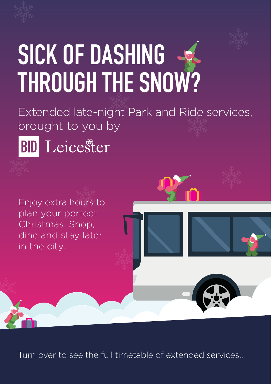



## SICK OF DASHING **THROUGH THE SNOW?**

Extended late-night Park and Ride services, brought to you by Leicester **BID** 

Enjoy extra hours to plan your perfect Christmas. Shop, dine and stay later in the city.

Turn over to see the full timetable of extended services…